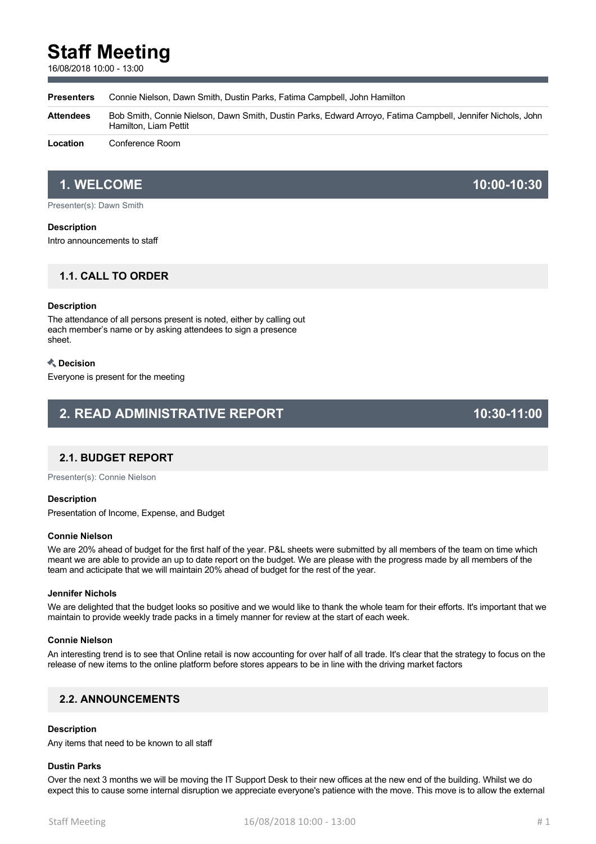# **Staff Meeting**

16/08/2018 10:00 - 13:00

**Presenters** Connie Nielson, Dawn Smith, Dustin Parks, Fatima Campbell, John Hamilton

**Attendees** Bob Smith, Connie Nielson, Dawn Smith, Dustin Parks, Edward Arroyo, Fatima Campbell, Jennifer Nichols, John Hamilton, Liam Pettit

**Location** Conference Room

# **1. WELCOME 10:00-10:30**

Presenter(s): Dawn Smith

### **Description**

Intro announcements to staff

# **1.1. CALL TO ORDER**

### **Description**

The attendance of all persons present is noted, either by calling out each member's name or by asking attendees to sign a presence sheet.

### **Decision**

Everyone is present for the meeting

# **2. READ ADMINISTRATIVE REPORT 10:30-11:00**

# **2.1. BUDGET REPORT**

Presenter(s): Connie Nielson

## **Description**

Presentation of Income, Expense, and Budget

#### **Connie Nielson**

We are 20% ahead of budget for the first half of the year. P&L sheets were submitted by all members of the team on time which meant we are able to provide an up to date report on the budget. We are please with the progress made by all members of the team and acticipate that we will maintain 20% ahead of budget for the rest of the year.

#### **Jennifer Nichols**

We are delighted that the budget looks so positive and we would like to thank the whole team for their efforts. It's important that we maintain to provide weekly trade packs in a timely manner for review at the start of each week.

### **Connie Nielson**

An interesting trend is to see that Online retail is now accounting for over half of all trade. It's clear that the strategy to focus on the release of new items to the online platform before stores appears to be in line with the driving market factors

# **2.2. ANNOUNCEMENTS**

# **Description**

Any items that need to be known to all staff

# **Dustin Parks**

Over the next 3 months we will be moving the IT Support Desk to their new offices at the new end of the building. Whilst we do expect this to cause some internal disruption we appreciate everyone's patience with the move. This move is to allow the external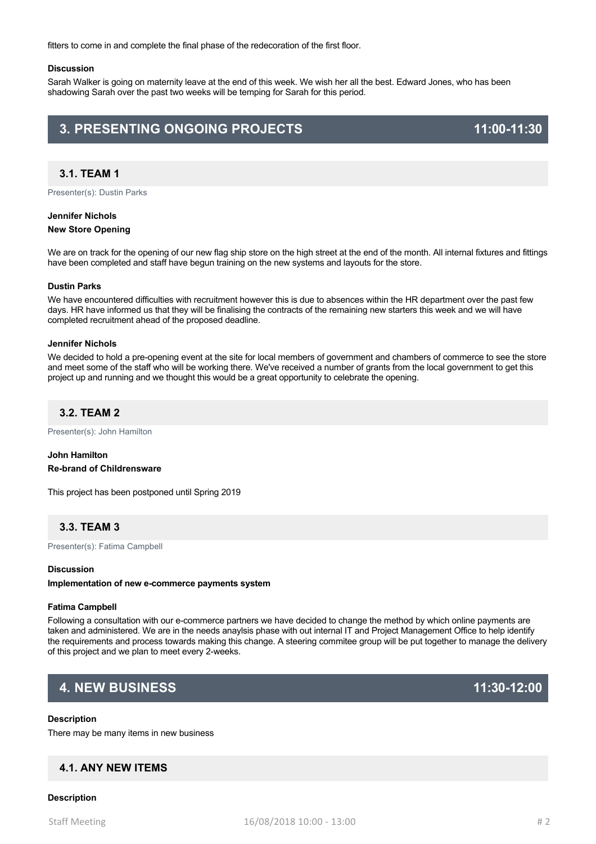fitters to come in and complete the final phase of the redecoration of the first floor.

#### **Discussion**

Sarah Walker is going on maternity leave at the end of this week. We wish her all the best. Edward Jones, who has been shadowing Sarah over the past two weeks will be temping for Sarah for this period.

# **3. PRESENTING ONGOING PROJECTS 11:00-11:30**

# **3.1. TEAM 1**

Presenter(s): Dustin Parks

#### **Jennifer Nichols**

#### **New Store Opening**

We are on track for the opening of our new flag ship store on the high street at the end of the month. All internal fixtures and fittings have been completed and staff have begun training on the new systems and layouts for the store.

#### **Dustin Parks**

We have encountered difficulties with recruitment however this is due to absences within the HR department over the past few days. HR have informed us that they will be finalising the contracts of the remaining new starters this week and we will have completed recruitment ahead of the proposed deadline.

#### **Jennifer Nichols**

We decided to hold a pre-opening event at the site for local members of government and chambers of commerce to see the store and meet some of the staff who will be working there. We've received a number of grants from the local government to get this project up and running and we thought this would be a great opportunity to celebrate the opening.

# **3.2. TEAM 2**

Presenter(s): John Hamilton

# **John Hamilton Re-brand of Childrensware**

This project has been postponed until Spring 2019

# **3.3. TEAM 3**

Presenter(s): Fatima Campbell

## **Discussion**

**Implementation of new e-commerce payments system**

#### **Fatima Campbell**

Following a consultation with our e-commerce partners we have decided to change the method by which online payments are taken and administered. We are in the needs anaylsis phase with out internal IT and Project Management Office to help identify the requirements and process towards making this change. A steering commitee group will be put together to manage the delivery of this project and we plan to meet every 2-weeks.

# **4. NEW BUSINESS 11:30-12:00**

## **Description**

There may be many items in new business

# **4.1. ANY NEW ITEMS**

#### **Description**